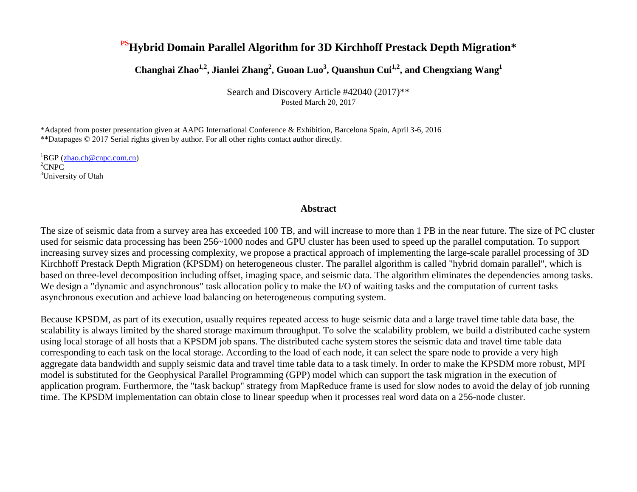#### **PSHybrid Domain Parallel Algorithm for 3D Kirchhoff Prestack Depth Migration\***

**Changhai Zhao1,2, Jianlei Zhang<sup>2</sup> , Guoan Luo<sup>3</sup> , Quanshun Cui1,2, and Chengxiang Wang<sup>1</sup>**

Search and Discovery Article #42040 (2017)\*\* Posted March 20, 2017

\*Adapted from poster presentation given at AAPG International Conference & Exhibition, Barcelona Spain, April 3-6, 2016 \*\*Datapages © 2017 Serial rights given by author. For all other rights contact author directly.

 ${}^{1}$ BGP (zhao.ch@cnpc.com.cn) <sup>2</sup>CNPC <sup>3</sup>University of Utah

#### **Abstract**

The size of seismic data from a survey area has exceeded 100 TB, and will increase to more than 1 PB in the near future. The size of PC cluster used for seismic data processing has been 256~1000 nodes and GPU cluster has been used to speed up the parallel computation. To support increasing survey sizes and processing complexity, we propose a practical approach of implementing the large-scale parallel processing of 3D Kirchhoff Prestack Depth Migration (KPSDM) on heterogeneous cluster. The parallel algorithm is called "hybrid domain parallel", which is based on three-level decomposition including offset, imaging space, and seismic data. The algorithm eliminates the dependencies among tasks. We design a "dynamic and asynchronous" task allocation policy to make the I/O of waiting tasks and the computation of current tasks asynchronous execution and achieve load balancing on heterogeneous computing system.

Because KPSDM, as part of its execution, usually requires repeated access to huge seismic data and a large travel time table data base, the scalability is always limited by the shared storage maximum throughput. To solve the scalability problem, we build a distributed cache system using local storage of all hosts that a KPSDM job spans. The distributed cache system stores the seismic data and travel time table data corresponding to each task on the local storage. According to the load of each node, it can select the spare node to provide a very high aggregate data bandwidth and supply seismic data and travel time table data to a task timely. In order to make the KPSDM more robust, MPI model is substituted for the Geophysical Parallel Programming (GPP) model which can support the task migration in the execution of application program. Furthermore, the "task backup" strategy from MapReduce frame is used for slow nodes to avoid the delay of job running time. The KPSDM implementation can obtain close to linear speedup when it processes real word data on a 256-node cluster.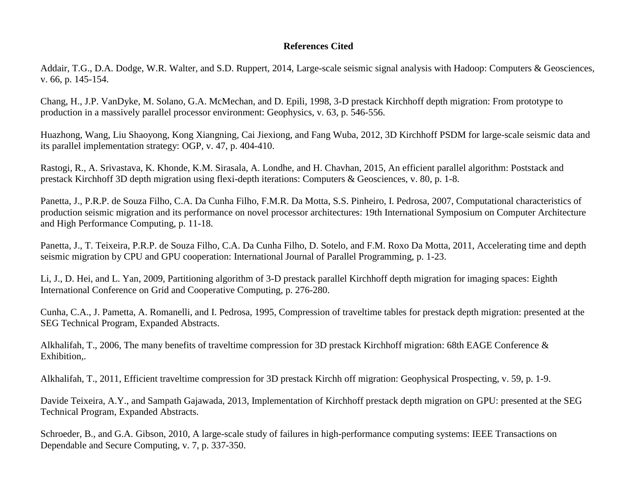#### **References Cited**

Addair, T.G., D.A. Dodge, W.R. Walter, and S.D. Ruppert, 2014, Large-scale seismic signal analysis with Hadoop: Computers & Geosciences, v. 66, p. 145-154.

Chang, H., J.P. VanDyke, M. Solano, G.A. McMechan, and D. Epili, 1998, 3-D prestack Kirchhoff depth migration: From prototype to production in a massively parallel processor environment: Geophysics, v. 63, p. 546-556.

Huazhong, Wang, Liu Shaoyong, Kong Xiangning, Cai Jiexiong, and Fang Wuba, 2012, 3D Kirchhoff PSDM for large-scale seismic data and its parallel implementation strategy: OGP, v. 47, p. 404-410.

Rastogi, R., A. Srivastava, K. Khonde, K.M. Sirasala, A. Londhe, and H. Chavhan, 2015, An efficient parallel algorithm: Poststack and prestack Kirchhoff 3D depth migration using flexi-depth iterations: Computers & Geosciences, v. 80, p. 1-8.

Panetta, J., P.R.P. de Souza Filho, C.A. Da Cunha Filho, F.M.R. Da Motta, S.S. Pinheiro, I. Pedrosa, 2007, Computational characteristics of production seismic migration and its performance on novel processor architectures: 19th International Symposium on Computer Architecture and High Performance Computing, p. 11-18.

Panetta, J., T. Teixeira, P.R.P. de Souza Filho, C.A. Da Cunha Filho, D. Sotelo, and F.M. Roxo Da Motta, 2011, Accelerating time and depth seismic migration by CPU and GPU cooperation: International Journal of Parallel Programming, p. 1-23.

Li, J., D. Hei, and L. Yan, 2009, Partitioning algorithm of 3-D prestack parallel Kirchhoff depth migration for imaging spaces: Eighth International Conference on Grid and Cooperative Computing, p. 276-280.

Cunha, C.A., J. Pametta, A. Romanelli, and I. Pedrosa, 1995, Compression of traveltime tables for prestack depth migration: presented at the SEG Technical Program, Expanded Abstracts.

Alkhalifah, T., 2006, The many benefits of traveltime compression for 3D prestack Kirchhoff migration: 68th EAGE Conference & Exhibition,.

Alkhalifah, T., 2011, Efficient traveltime compression for 3D prestack Kirchh off migration: Geophysical Prospecting, v. 59, p. 1-9.

Davide Teixeira, A.Y., and Sampath Gajawada, 2013, Implementation of Kirchhoff prestack depth migration on GPU: presented at the SEG Technical Program, Expanded Abstracts.

Schroeder, B., and G.A. Gibson, 2010, A large-scale study of failures in high-performance computing systems: IEEE Transactions on Dependable and Secure Computing, v. 7, p. 337-350.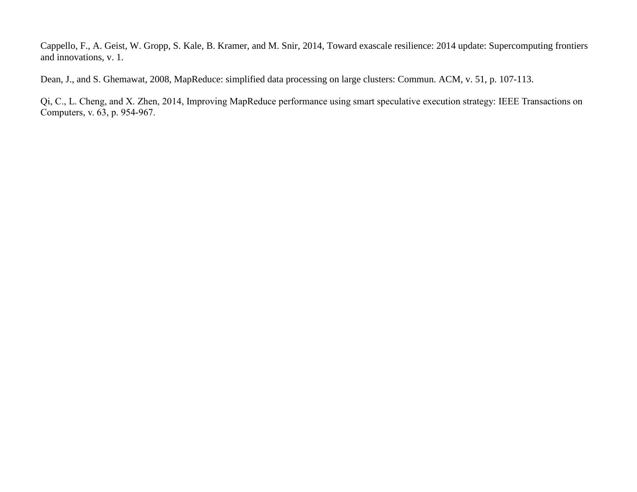Cappello, F., A. Geist, W. Gropp, S. Kale, B. Kramer, and M. Snir, 2014, Toward exascale resilience: 2014 update: Supercomputing frontiers and innovations, v. 1.

Dean, J., and S. Ghemawat, 2008, MapReduce: simplified data processing on large clusters: Commun. ACM, v. 51, p. 107-113.

Qi, C., L. Cheng, and X. Zhen, 2014, Improving MapReduce performance using smart speculative execution strategy: IEEE Transactions on Computers, v. 63, p. 954-967.